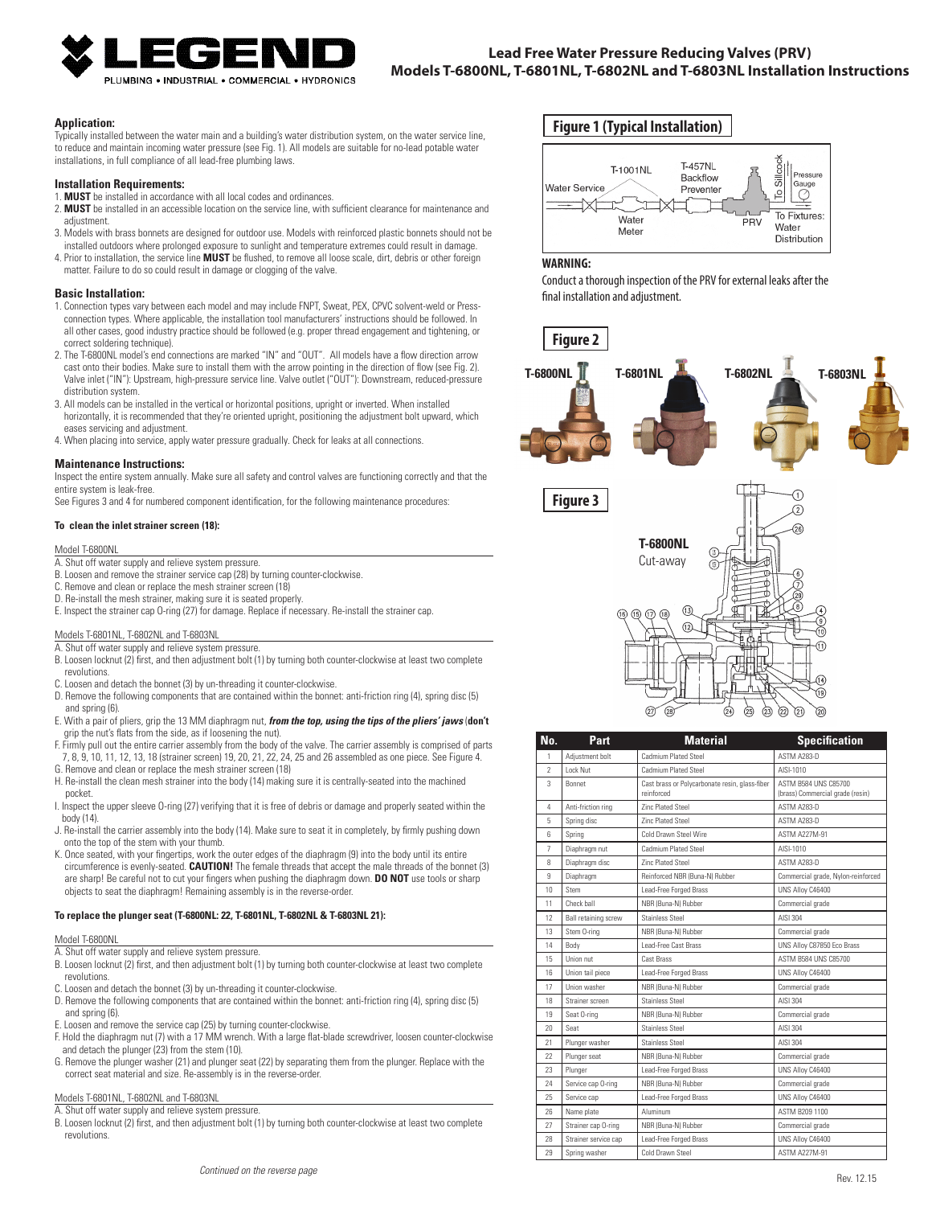

# **Lead Free Water Pressure Reducing Valves (PRV) Models T-6800NL, T-6801NL, T-6802NL and T-6803NL Installation Instructions**

#### **Application:**

Typically installed between the water main and a building's water distribution system, on the water service line, to reduce and maintain incoming water pressure (see Fig. 1). All models are suitable for no-lead potable water installations, in full compliance of all lead-free plumbing laws.

#### **Installation Requirements:**

- 1. **MUST** be installed in accordance with all local codes and ordinances.
- 2. **MUST** be installed in an accessible location on the service line, with sufficient clearance for maintenance and adjustment.
- 3. Models with brass bonnets are designed for outdoor use. Models with reinforced plastic bonnets should not be
- installed outdoors where prolonged exposure to sunlight and temperature extremes could result in damage. 4. Prior to installation, the service line **MUST** be flushed, to remove all loose scale, dirt, debris or other foreign matter. Failure to do so could result in damage or clogging of the valve.

#### **Basic Installation:**

- 1. Connection types vary between each model and may include FNPT, Sweat, PEX, CPVC solvent-weld or Pressconnection types. Where applicable, the installation tool manufacturers' instructions should be followed. In all other cases, good industry practice should be followed (e.g. proper thread engagement and tightening, or correct soldering technique).
- 2. The T-6800NL model's end connections are marked "IN" and "OUT". All models have a flow direction arrow cast onto their bodies. Make sure to install them with the arrow pointing in the direction of flow (see Fig. 2). Valve inlet ("IN"): Upstream, high-pressure service line. Valve outlet ("OUT"): Downstream, reduced-pressure distribution system.
- 3. All models can be installed in the vertical or horizontal positions, upright or inverted. When installed horizontally, it is recommended that they're oriented upright, positioning the adjustment bolt upward, which eases servicing and adjustment.
- 4. When placing into service, apply water pressure gradually. Check for leaks at all connections.

#### **Maintenance Instructions:**

Inspect the entire system annually. Make sure all safety and control valves are functioning correctly and that the entire system is leak-free.

See Figures 3 and 4 for numbered component identification, for the following maintenance procedures:

## **To clean the inlet strainer screen (18):**

#### Model T-6800NL

- A. Shut off water supply and relieve system pressure.
- B. Loosen and remove the strainer service cap (28) by turning counter-clockwise.
- C. Remove and clean or replace the mesh strainer screen (18)
- D. Re-install the mesh strainer, making sure it is seated properly.
- E. Inspect the strainer cap O-ring (27) for damage. Replace if necessary. Re-install the strainer cap.

#### Models T-6801NL, T-6802NL and T-6803NL

- A. Shut off water supply and relieve system pressure. B. Loosen locknut (2) first, and then adjustment bolt (1) by turning both counter-clockwise at least two complete revolutions.
- C. Loosen and detach the bonnet (3) by un-threading it counter-clockwise.
- D. Remove the following components that are contained within the bonnet: anti-friction ring (4), spring disc (5) and spring (6).
- E. With a pair of pliers, grip the 13 MM diaphragm nut, *from the top, using the tips of the pliers' jaws* (**don't** grip the nut's flats from the side, as if loosening the nut).
- F. Firmly pull out the entire carrier assembly from the body of the valve. The carrier assembly is comprised of parts 7, 8, 9, 10, 11, 12, 13, 18 (strainer screen) 19, 20, 21, 22, 24, 25 and 26 assembled as one piece. See Figure 4.
- G. Remove and clean or replace the mesh strainer screen (18)
- H. Re-install the clean mesh strainer into the body (14) making sure it is centrally-seated into the machined pocket.
- I. Inspect the upper sleeve O-ring (27) verifying that it is free of debris or damage and properly seated within the body (14).
- J. Re-install the carrier assembly into the body (14). Make sure to seat it in completely, by firmly pushing down onto the top of the stem with your thumb.
- K. Once seated, with your fingertips, work the outer edges of the diaphragm (9) into the body until its entire circumference is evenly-seated. **CAUTION!** The female threads that accept the male threads of the bonnet (3) are sharp! Be careful not to cut your fingers when pushing the diaphragm down. **DO NOT** use tools or sharp objects to seat the diaphragm! Remaining assembly is in the reverse-order.

#### **To replace the plunger seat (T-6800NL: 22, T-6801NL, T-6802NL & T-6803NL 21):**

#### Model T-6800NL

- A. Shut off water supply and relieve system pressure.
- B. Loosen locknut (2) first, and then adjustment bolt (1) by turning both counter-clockwise at least two complete revolutions.
- C. Loosen and detach the bonnet (3) by un-threading it counter-clockwise.
- D. Remove the following components that are contained within the bonnet: anti-friction ring (4), spring disc (5) and spring (6).
- E. Loosen and remove the service cap (25) by turning counter-clockwise.
- F. Hold the diaphragm nut (7) with a 17 MM wrench. With a large flat-blade screwdriver, loosen counter-clockwise and detach the plunger (23) from the stem (10).
- G. Remove the plunger washer (21) and plunger seat (22) by separating them from the plunger. Replace with the correct seat material and size. Re-assembly is in the reverse-order.

#### Models T-6801NL, T-6802NL and T-6803NL

- A. Shut off water supply and relieve system pressure.
- B. Loosen locknut (2) first, and then adjustment bolt (1) by turning both counter-clockwise at least two complete revolutions.

# **Figure 1 (Typical Installation)**



### **WARNING:**

Conduct a thorough inspection of the PRV for external leaks after the final installation and adjustment.



| No.            | Part                        | <b>Material</b>                                              | <b>Specification</b>                                     |
|----------------|-----------------------------|--------------------------------------------------------------|----------------------------------------------------------|
| 1              | Adjustment bolt             | <b>Cadmium Plated Steel</b>                                  | <b>ASTM A283-D</b>                                       |
| $\mathfrak{p}$ | Lock Nut                    | Cadmium Plated Steel                                         | AISI-1010                                                |
| $\overline{3}$ | <b>Bonnet</b>               | Cast brass or Polycarbonate resin, glass-fiber<br>reinforced | ASTM B584 UNS C85700<br>(brass) Commercial grade (resin) |
| 4              | Anti-friction ring          | <b>Zinc Plated Steel</b>                                     | ASTM A283-D                                              |
| 5              | Spring disc                 | <b>Zinc Plated Steel</b>                                     | ASTM A283-D                                              |
| ĥ              | Spring                      | Cold Drawn Steel Wire                                        | <b>ASTM A227M-91</b>                                     |
| $\overline{7}$ | Diaphragm nut               | Cadmium Plated Steel                                         | AISI-1010                                                |
| 8              | Diaphragm disc              | <b>Zinc Plated Steel</b>                                     | ASTM A283-D                                              |
| $\overline{9}$ | Diaphragm                   | Reinforced NBR (Buna-N) Rubber                               | Commercial grade, Nylon-reinforced                       |
| 10             | Stem                        | Lead-Free Forged Brass                                       | UNS Allov C46400                                         |
| 11             | Check hall                  | NBR (Buna-N) Rubber                                          | Commercial grade                                         |
| 12             | <b>Ball retaining screw</b> | <b>Stainless Steel</b>                                       | AISI 304                                                 |
| 13             | Stem 0-ring                 | NBR (Buna-N) Bubber                                          | Commercial grade                                         |
| 14             | Body                        | Lead-Free Cast Brass                                         | UNS Alloy C87850 Eco Brass                               |
| 15             | Union nut                   | <b>Cast Brass</b>                                            | ASTM B584 UNS C85700                                     |
| 16             | Union tail piece            | Lead-Free Forged Brass                                       | UNS Alloy C46400                                         |
| 17             | Union washer                | NBR (Buna-N) Rubber                                          | Commercial grade                                         |
| 18             | Strainer screen             | <b>Stainless Steel</b>                                       | AISI 304                                                 |
| 19             | Seat O-ring                 | NBR (Buna-N) Rubber                                          | Commercial grade                                         |
| 20             | Seat                        | Stainless Steel                                              | AISI 304                                                 |
| 21             | Plunger washer              | Stainless Steel                                              | AISI 304                                                 |
| 22             | Plunger seat                | NBR (Buna-N) Rubber                                          | Commercial grade                                         |
| 23             | Plunger                     | Lead-Free Forged Brass                                       | UNS Allov C46400                                         |
| 24             | Service cap O-ring          | NBR (Buna-N) Rubber                                          | Commercial grade                                         |
| 25             | Service cap                 | Lead-Free Forged Brass                                       | UNS Alloy C46400                                         |
| 26             | Name plate                  | Aluminum                                                     | ASTM B209 1100                                           |
| 27             | Strainer cap O-ring         | NBR (Buna-N) Rubber                                          | Commercial grade                                         |
| 28             | Strainer service cap        | Lead-Free Forged Brass                                       | UNS Alloy C46400                                         |
| 29             | Spring washer               | Cold Drawn Steel                                             | <b>ASTM A227M-91</b>                                     |